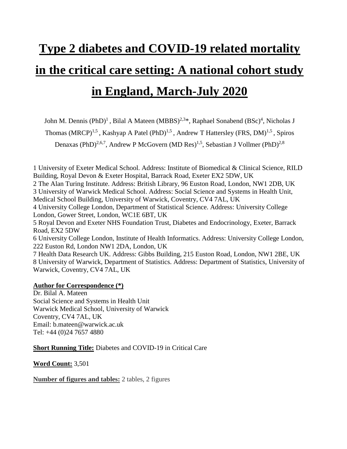# **Type 2 diabetes and COVID-19 related mortality in the critical care setting: A national cohort study in England, March-July 2020**

John M. Dennis (PhD)<sup>1</sup>, Bilal A Mateen (MBBS)<sup>2,3\*</sup>, Raphael Sonabend (BSc)<sup>4</sup>, Nicholas J

Thomas (MRCP)<sup>1,5</sup>, Kashyap A Patel (PhD)<sup>1,5</sup>, Andrew T Hattersley (FRS, DM)<sup>1,5</sup>, Spiros

Denaxas (PhD)<sup>2,6,7</sup>, Andrew P McGovern (MD Res)<sup>1,5</sup>, Sebastian J Vollmer (PhD)<sup>2,8</sup>

1 University of Exeter Medical School. Address: Institute of Biomedical & Clinical Science, RILD Building, Royal Devon & Exeter Hospital, Barrack Road, Exeter EX2 5DW, UK 2 The Alan Turing Institute. Address: British Library, 96 Euston Road, London, NW1 2DB, UK 3 University of Warwick Medical School. Address: Social Science and Systems in Health Unit, Medical School Building, University of Warwick, Coventry, CV4 7AL, UK 4 University College London, Department of Statistical Science. Address: University College London, Gower Street, London, WC1E 6BT, UK 5 Royal Devon and Exeter NHS Foundation Trust, Diabetes and Endocrinology, Exeter, Barrack Road, EX2 5DW 6 University College London, Institute of Health Informatics. Address: University College London,

222 Euston Rd, London NW1 2DA, London, UK 7 Health Data Research UK. Address: Gibbs Building, 215 Euston Road, London, NW1 2BE, UK 8 University of Warwick, Department of Statistics. Address: Department of Statistics, University of Warwick, Coventry, CV4 7AL, UK

#### **Author for Correspondence (\*)**

Dr. Bilal A. Mateen Social Science and Systems in Health Unit Warwick Medical School, [University of Warwick](https://warwick.ac.uk/about/visiting) [Coventry, CV4 7AL, UK](https://warwick.ac.uk/about/visiting) Email: [b.mateen@warwick.ac.uk](mailto:b.mateen@warwick.ac.uk) Tel: +44 (0)24 7657 4880

**Short Running Title:** Diabetes and COVID-19 in Critical Care

**Word Count:** 3,501

**Number of figures and tables:** 2 tables, 2 figures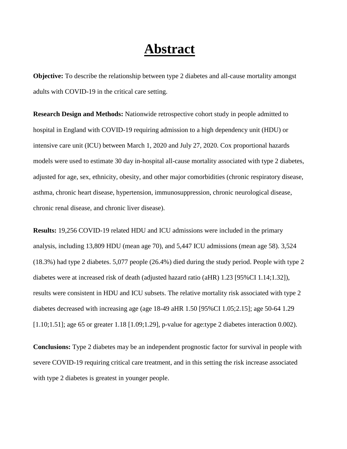### **Abstract**

**Objective:** To describe the relationship between type 2 diabetes and all-cause mortality amongst adults with COVID-19 in the critical care setting.

**Research Design and Methods:** Nationwide retrospective cohort study in people admitted to hospital in England with COVID-19 requiring admission to a high dependency unit (HDU) or intensive care unit (ICU) between March 1, 2020 and July 27, 2020. Cox proportional hazards models were used to estimate 30 day in-hospital all-cause mortality associated with type 2 diabetes, adjusted for age, sex, ethnicity, obesity, and other major comorbidities (chronic respiratory disease, asthma, chronic heart disease, hypertension, immunosuppression, chronic neurological disease, chronic renal disease, and chronic liver disease).

**Results:** 19,256 COVID-19 related HDU and ICU admissions were included in the primary analysis, including 13,809 HDU (mean age 70), and 5,447 ICU admissions (mean age 58). 3,524 (18.3%) had type 2 diabetes. 5,077 people (26.4%) died during the study period. People with type 2 diabetes were at increased risk of death (adjusted hazard ratio (aHR) 1.23 [95%CI 1.14;1.32]), results were consistent in HDU and ICU subsets. The relative mortality risk associated with type 2 diabetes decreased with increasing age (age 18-49 aHR 1.50 [95%CI 1.05;2.15]; age 50-64 1.29 [1.10;1.51]; age 65 or greater 1.18 [1.09;1.29], p-value for age:type 2 diabetes interaction 0.002).

**Conclusions:** Type 2 diabetes may be an independent prognostic factor for survival in people with severe COVID-19 requiring critical care treatment, and in this setting the risk increase associated with type 2 diabetes is greatest in younger people.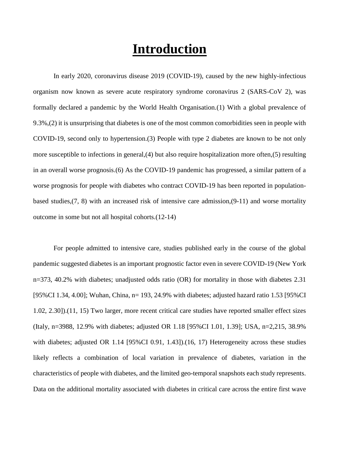### **Introduction**

In early 2020, coronavirus disease 2019 (COVID-19), caused by the new highly-infectious organism now known as severe acute respiratory syndrome coronavirus 2 (SARS-CoV 2), was formally declared a pandemic by the World Health Organisation.(1) With a global prevalence of 9.3%,(2) it is unsurprising that diabetes is one of the most common comorbidities seen in people with COVID-19, second only to hypertension.(3) People with type 2 diabetes are known to be not only more susceptible to infections in general,(4) but also require hospitalization more often,(5) resulting in an overall worse prognosis.(6) As the COVID-19 pandemic has progressed, a similar pattern of a worse prognosis for people with diabetes who contract COVID-19 has been reported in populationbased studies,(7, 8) with an increased risk of intensive care admission,(9-11) and worse mortality outcome in some but not all hospital cohorts.(12-14)

For people admitted to intensive care, studies published early in the course of the global pandemic suggested diabetes is an important prognostic factor even in severe COVID-19 (New York n=373, 40.2% with diabetes; unadjusted odds ratio (OR) for mortality in those with diabetes 2.31 [95%CI 1.34, 4.00]; Wuhan, China, n= 193, 24.9% with diabetes; adjusted hazard ratio 1.53 [95%CI 1.02, 2.30]).(11, 15) Two larger, more recent critical care studies have reported smaller effect sizes (Italy, n=3988, 12.9% with diabetes; adjusted OR 1.18 [95%CI 1.01, 1.39]; USA, n=2,215, 38.9% with diabetes; adjusted OR 1.14 [95%CI 0.91, 1.43]).(16, 17) Heterogeneity across these studies likely reflects a combination of local variation in prevalence of diabetes, variation in the characteristics of people with diabetes, and the limited geo-temporal snapshots each study represents. Data on the additional mortality associated with diabetes in critical care across the entire first wave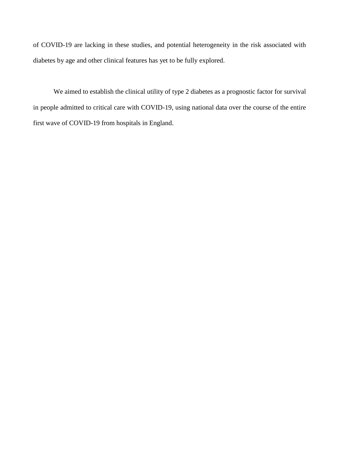of COVID-19 are lacking in these studies, and potential heterogeneity in the risk associated with diabetes by age and other clinical features has yet to be fully explored.

We aimed to establish the clinical utility of type 2 diabetes as a prognostic factor for survival in people admitted to critical care with COVID-19, using national data over the course of the entire first wave of COVID-19 from hospitals in England.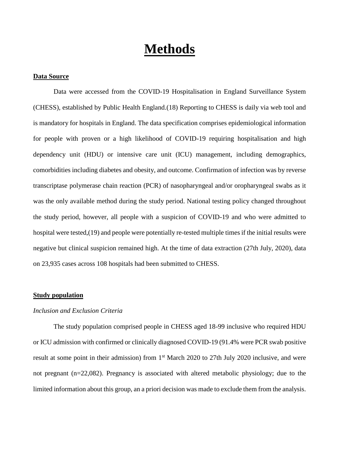### **Methods**

#### **Data Source**

Data were accessed from the COVID-19 Hospitalisation in England Surveillance System (CHESS), established by Public Health England.(18) Reporting to CHESS is daily via web tool and is mandatory for hospitals in England. The data specification comprises epidemiological information for people with proven or a high likelihood of COVID-19 requiring hospitalisation and high dependency unit (HDU) or intensive care unit (ICU) management, including demographics, comorbidities including diabetes and obesity, and outcome. Confirmation of infection was by reverse transcriptase polymerase chain reaction (PCR) of nasopharyngeal and/or oropharyngeal swabs as it was the only available method during the study period. National testing policy changed throughout the study period, however, all people with a suspicion of COVID-19 and who were admitted to hospital were tested,(19) and people were potentially re-tested multiple times if the initial results were negative but clinical suspicion remained high. At the time of data extraction (27th July, 2020), data on 23,935 cases across 108 hospitals had been submitted to CHESS.

#### **Study population**

#### *Inclusion and Exclusion Criteria*

The study population comprised people in CHESS aged 18-99 inclusive who required HDU or ICU admission with confirmed or clinically diagnosed COVID-19 (91.4% were PCR swab positive result at some point in their admission) from 1<sup>st</sup> March 2020 to 27th July 2020 inclusive, and were not pregnant (n=22,082). Pregnancy is associated with altered metabolic physiology; due to the limited information about this group, an a priori decision was made to exclude them from the analysis.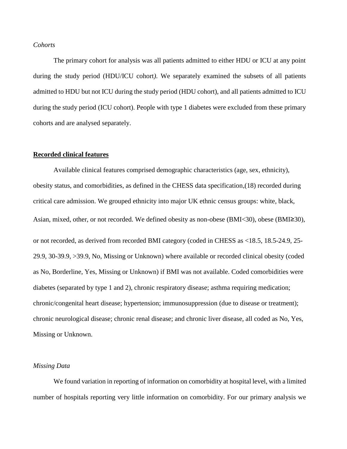#### *Cohorts*

The primary cohort for analysis was all patients admitted to either HDU or ICU at any point during the study period (HDU/ICU cohort*)*. We separately examined the subsets of all patients admitted to HDU but not ICU during the study period (HDU cohort), and all patients admitted to ICU during the study period (ICU cohort). People with type 1 diabetes were excluded from these primary cohorts and are analysed separately.

#### **Recorded clinical features**

Available clinical features comprised demographic characteristics (age, sex, ethnicity), obesity status, and comorbidities, as defined in the CHESS data specification,(18) recorded during critical care admission. We grouped ethnicity into major UK ethnic census groups: white, black, Asian, mixed, other, or not recorded. We defined obesity as non-obese (BMI<30), obese (BMI≥30), or not recorded, as derived from recorded BMI category (coded in CHESS as <18.5, 18.5-24.9, 25- 29.9, 30-39.9, >39.9, No, Missing or Unknown) where available or recorded clinical obesity (coded as No, Borderline, Yes, Missing or Unknown) if BMI was not available. Coded comorbidities were diabetes (separated by type 1 and 2), chronic respiratory disease; asthma requiring medication; chronic/congenital heart disease; hypertension; immunosuppression (due to disease or treatment); chronic neurological disease; chronic renal disease; and chronic liver disease, all coded as No, Yes, Missing or Unknown.

#### *Missing Data*

We found variation in reporting of information on comorbidity at hospital level, with a limited number of hospitals reporting very little information on comorbidity. For our primary analysis we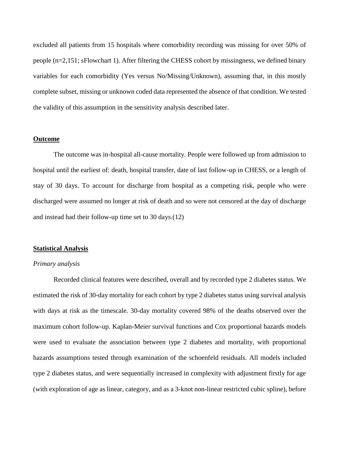excluded all patients from 15 hospitals where comorbidity recording was missing for over 50% of people (n=2,151; sFlowchart 1). After filtering the CHESS cohort by missingness, we defined binary variables for each comorbidity (Yes versus No/Missing/Unknown), assuming that, in this mostly complete subset, missing or unknown coded data represented the absence of that condition. We tested the validity of this assumption in the sensitivity analysis described later.

#### **Outcome**

The outcome was in-hospital all-cause mortality. People were followed up from admission to hospital until the earliest of: death, hospital transfer, date of last follow-up in CHESS, or a length of stay of 30 days. To account for discharge from hospital as a competing risk, people who were discharged were assumed no longer at risk of death and so were not censored at the day of discharge and instead had their follow-up time set to 30 days.(12)

#### **Statistical Analysis**

#### *Primary analysis*

Recorded clinical features were described, overall and by recorded type 2 diabetes status. We estimated the risk of 30-day mortality for each cohort by type 2 diabetes status using survival analysis with days at risk as the timescale. 30-day mortality covered 98% of the deaths observed over the maximum cohort follow-up. Kaplan-Meier survival functions and Cox proportional hazards models were used to evaluate the association between type 2 diabetes and mortality, with proportional hazards assumptions tested through examination of the schoenfeld residuals. All models included type 2 diabetes status, and were sequentially increased in complexity with adjustment firstly for age (with exploration of age as linear, category, and as a 3-knot non-linear restricted cubic spline), before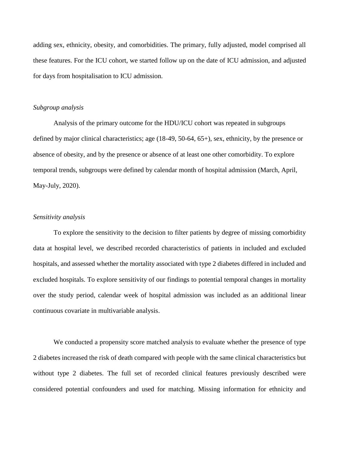adding sex, ethnicity, obesity, and comorbidities. The primary, fully adjusted, model comprised all these features. For the ICU cohort, we started follow up on the date of ICU admission, and adjusted for days from hospitalisation to ICU admission.

#### *Subgroup analysis*

Analysis of the primary outcome for the HDU/ICU cohort was repeated in subgroups defined by major clinical characteristics; age (18-49, 50-64, 65+), sex, ethnicity, by the presence or absence of obesity, and by the presence or absence of at least one other comorbidity. To explore temporal trends, subgroups were defined by calendar month of hospital admission (March, April, May-July, 2020).

#### *Sensitivity analysis*

To explore the sensitivity to the decision to filter patients by degree of missing comorbidity data at hospital level, we described recorded characteristics of patients in included and excluded hospitals, and assessed whether the mortality associated with type 2 diabetes differed in included and excluded hospitals. To explore sensitivity of our findings to potential temporal changes in mortality over the study period, calendar week of hospital admission was included as an additional linear continuous covariate in multivariable analysis.

We conducted a propensity score matched analysis to evaluate whether the presence of type 2 diabetes increased the risk of death compared with people with the same clinical characteristics but without type 2 diabetes. The full set of recorded clinical features previously described were considered potential confounders and used for matching. Missing information for ethnicity and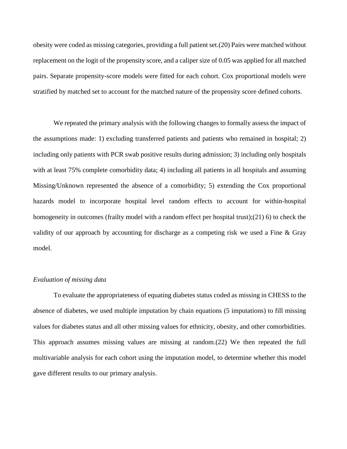obesity were coded as missing categories, providing a full patient set.(20) Pairs were matched without replacement on the logit of the propensity score, and a caliper size of 0.05 was applied for all matched pairs. Separate propensity-score models were fitted for each cohort. Cox proportional models were stratified by matched set to account for the matched nature of the propensity score defined cohorts.

We repeated the primary analysis with the following changes to formally assess the impact of the assumptions made: 1) excluding transferred patients and patients who remained in hospital; 2) including only patients with PCR swab positive results during admission; 3) including only hospitals with at least 75% complete comorbidity data; 4) including all patients in all hospitals and assuming Missing/Unknown represented the absence of a comorbidity; 5) extending the Cox proportional hazards model to incorporate hospital level random effects to account for within-hospital homogeneity in outcomes (frailty model with a random effect per hospital trust);(21) 6) to check the validity of our approach by accounting for discharge as a competing risk we used a Fine & Gray model.

#### *Evaluation of missing data*

To evaluate the appropriateness of equating diabetes status coded as missing in CHESS to the absence of diabetes, we used multiple imputation by chain equations (5 imputations) to fill missing values for diabetes status and all other missing values for ethnicity, obesity, and other comorbidities. This approach assumes missing values are missing at random.(22) We then repeated the full multivariable analysis for each cohort using the imputation model, to determine whether this model gave different results to our primary analysis.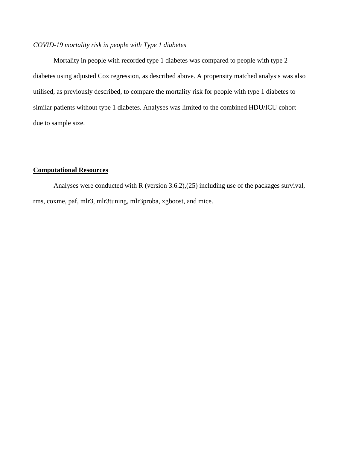#### *COVID-19 mortality risk in people with Type 1 diabetes*

Mortality in people with recorded type 1 diabetes was compared to people with type 2 diabetes using adjusted Cox regression, as described above. A propensity matched analysis was also utilised, as previously described, to compare the mortality risk for people with type 1 diabetes to similar patients without type 1 diabetes. Analyses was limited to the combined HDU/ICU cohort due to sample size.

#### **Computational Resources**

Analyses were conducted with R (version 3.6.2),(25) including use of the packages survival, rms, coxme, paf, mlr3, mlr3tuning, mlr3proba, xgboost, and mice.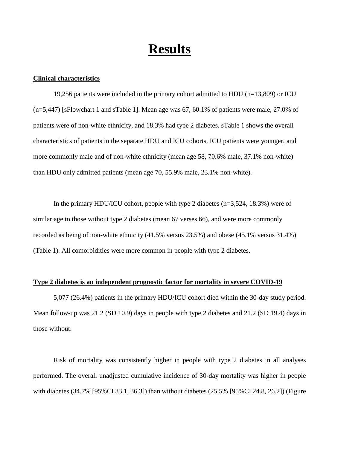### **Results**

#### **Clinical characteristics**

19,256 patients were included in the primary cohort admitted to HDU (n=13,809) or ICU (n=5,447) [sFlowchart 1 and sTable 1]. Mean age was 67, 60.1% of patients were male, 27.0% of patients were of non-white ethnicity, and 18.3% had type 2 diabetes. sTable 1 shows the overall characteristics of patients in the separate HDU and ICU cohorts. ICU patients were younger, and more commonly male and of non-white ethnicity (mean age 58, 70.6% male, 37.1% non-white) than HDU only admitted patients (mean age 70, 55.9% male, 23.1% non-white).

In the primary HDU/ICU cohort, people with type 2 diabetes (n=3,524, 18.3%) were of similar age to those without type 2 diabetes (mean 67 verses 66), and were more commonly recorded as being of non-white ethnicity (41.5% versus 23.5%) and obese (45.1% versus 31.4%) (Table 1). All comorbidities were more common in people with type 2 diabetes.

#### **Type 2 diabetes is an independent prognostic factor for mortality in severe COVID-19**

5,077 (26.4%) patients in the primary HDU/ICU cohort died within the 30-day study period. Mean follow-up was 21.2 (SD 10.9) days in people with type 2 diabetes and 21.2 (SD 19.4) days in those without.

Risk of mortality was consistently higher in people with type 2 diabetes in all analyses performed. The overall unadjusted cumulative incidence of 30-day mortality was higher in people with diabetes (34.7% [95%CI 33.1, 36.3]) than without diabetes (25.5% [95%CI 24.8, 26.2]) (Figure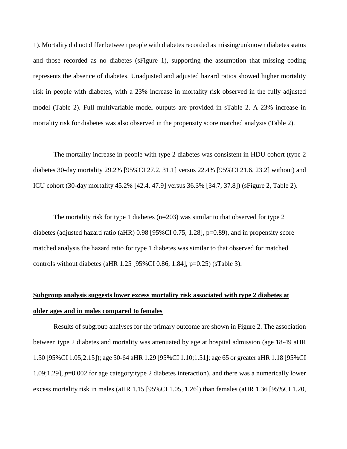1). Mortality did not differ between people with diabetes recorded as missing/unknown diabetes status and those recorded as no diabetes (sFigure 1), supporting the assumption that missing coding represents the absence of diabetes. Unadjusted and adjusted hazard ratios showed higher mortality risk in people with diabetes, with a 23% increase in mortality risk observed in the fully adjusted model (Table 2). Full multivariable model outputs are provided in sTable 2. A 23% increase in mortality risk for diabetes was also observed in the propensity score matched analysis (Table 2).

The mortality increase in people with type 2 diabetes was consistent in HDU cohort (type 2 diabetes 30-day mortality 29.2% [95%CI 27.2, 31.1] versus 22.4% [95%CI 21.6, 23.2] without) and ICU cohort (30-day mortality 45.2% [42.4, 47.9] versus 36.3% [34.7, 37.8]) (sFigure 2, Table 2).

The mortality risk for type 1 diabetes  $(n=203)$  was similar to that observed for type 2 diabetes (adjusted hazard ratio (aHR) 0.98 [95%CI 0.75, 1.28], p=0.89), and in propensity score matched analysis the hazard ratio for type 1 diabetes was similar to that observed for matched controls without diabetes (aHR 1.25 [95%CI 0.86, 1.84], p=0.25) (sTable 3).

### **Subgroup analysis suggests lower excess mortality risk associated with type 2 diabetes at older ages and in males compared to females**

Results of subgroup analyses for the primary outcome are shown in Figure 2. The association between type 2 diabetes and mortality was attenuated by age at hospital admission (age 18-49 aHR 1.50 [95%CI 1.05;2.15]); age 50-64 aHR 1.29 [95%CI 1.10;1.51]; age 65 or greater aHR 1.18 [95%CI 1.09;1.29], *p*=0.002 for age category:type 2 diabetes interaction), and there was a numerically lower excess mortality risk in males (aHR 1.15 [95%CI 1.05, 1.26]) than females (aHR 1.36 [95%CI 1.20,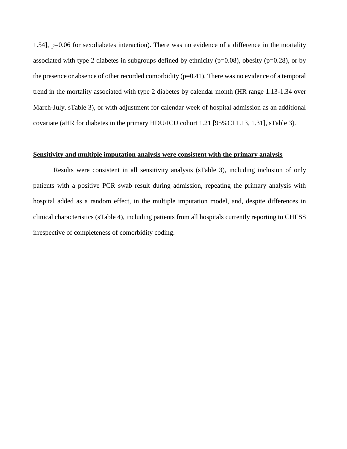1.54], p=0.06 for sex:diabetes interaction). There was no evidence of a difference in the mortality associated with type 2 diabetes in subgroups defined by ethnicity ( $p=0.08$ ), obesity ( $p=0.28$ ), or by the presence or absence of other recorded comorbidity (p=0.41). There was no evidence of a temporal trend in the mortality associated with type 2 diabetes by calendar month (HR range 1.13-1.34 over March-July, sTable 3), or with adjustment for calendar week of hospital admission as an additional covariate (aHR for diabetes in the primary HDU/ICU cohort 1.21 [95%CI 1.13, 1.31], sTable 3).

#### **Sensitivity and multiple imputation analysis were consistent with the primary analysis**

Results were consistent in all sensitivity analysis (sTable 3), including inclusion of only patients with a positive PCR swab result during admission, repeating the primary analysis with hospital added as a random effect, in the multiple imputation model, and, despite differences in clinical characteristics (sTable 4), including patients from all hospitals currently reporting to CHESS irrespective of completeness of comorbidity coding.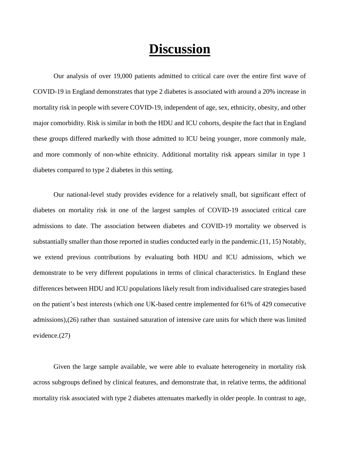### **Discussion**

Our analysis of over 19,000 patients admitted to critical care over the entire first wave of COVID-19 in England demonstrates that type 2 diabetes is associated with around a 20% increase in mortality risk in people with severe COVID-19, independent of age, sex, ethnicity, obesity, and other major comorbidity. Risk is similar in both the HDU and ICU cohorts, despite the fact that in England these groups differed markedly with those admitted to ICU being younger, more commonly male, and more commonly of non-white ethnicity. Additional mortality risk appears similar in type 1 diabetes compared to type 2 diabetes in this setting.

Our national-level study provides evidence for a relatively small, but significant effect of diabetes on mortality risk in one of the largest samples of COVID-19 associated critical care admissions to date. The association between diabetes and COVID-19 mortality we observed is substantially smaller than those reported in studies conducted early in the pandemic.(11, 15) Notably, we extend previous contributions by evaluating both HDU and ICU admissions, which we demonstrate to be very different populations in terms of clinical characteristics. In England these differences between HDU and ICU populations likely result from individualised care strategies based on the patient's best interests (which one UK-based centre implemented for 61% of 429 consecutive admissions),(26) rather than sustained saturation of intensive care units for which there was limited evidence.(27)

Given the large sample available, we were able to evaluate heterogeneity in mortality risk across subgroups defined by clinical features, and demonstrate that, in relative terms, the additional mortality risk associated with type 2 diabetes attenuates markedly in older people. In contrast to age,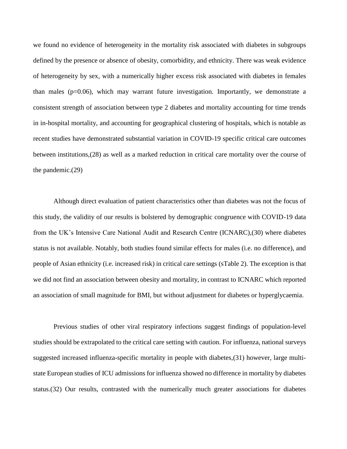we found no evidence of heterogeneity in the mortality risk associated with diabetes in subgroups defined by the presence or absence of obesity, comorbidity, and ethnicity. There was weak evidence of heterogeneity by sex, with a numerically higher excess risk associated with diabetes in females than males ( $p=0.06$ ), which may warrant future investigation. Importantly, we demonstrate a consistent strength of association between type 2 diabetes and mortality accounting for time trends in in-hospital mortality, and accounting for geographical clustering of hospitals, which is notable as recent studies have demonstrated substantial variation in COVID-19 specific critical care outcomes between institutions,(28) as well as a marked reduction in critical care mortality over the course of the pandemic.(29)

Although direct evaluation of patient characteristics other than diabetes was not the focus of this study, the validity of our results is bolstered by demographic congruence with COVID-19 data from the UK's Intensive Care National Audit and Research Centre (ICNARC),(30) where diabetes status is not available. Notably, both studies found similar effects for males (i.e. no difference), and people of Asian ethnicity (i.e. increased risk) in critical care settings (sTable 2). The exception is that we did not find an association between obesity and mortality, in contrast to ICNARC which reported an association of small magnitude for BMI, but without adjustment for diabetes or hyperglycaemia.

Previous studies of other viral respiratory infections suggest findings of population-level studies should be extrapolated to the critical care setting with caution. For influenza, national surveys suggested increased influenza-specific mortality in people with diabetes,(31) however, large multistate European studies of ICU admissions for influenza showed no difference in mortality by diabetes status.(32) Our results, contrasted with the numerically much greater associations for diabetes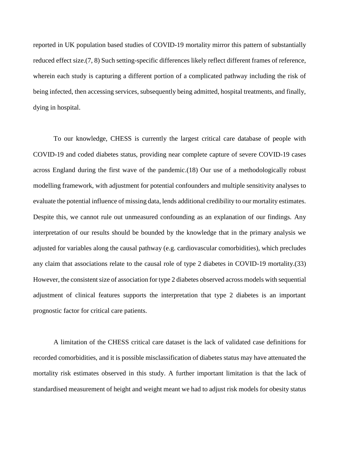reported in UK population based studies of COVID-19 mortality mirror this pattern of substantially reduced effect size.(7, 8) Such setting-specific differences likely reflect different frames of reference, wherein each study is capturing a different portion of a complicated pathway including the risk of being infected, then accessing services, subsequently being admitted, hospital treatments, and finally, dying in hospital.

To our knowledge, CHESS is currently the largest critical care database of people with COVID-19 and coded diabetes status, providing near complete capture of severe COVID-19 cases across England during the first wave of the pandemic.(18) Our use of a methodologically robust modelling framework, with adjustment for potential confounders and multiple sensitivity analyses to evaluate the potential influence of missing data, lends additional credibility to our mortality estimates. Despite this, we cannot rule out unmeasured confounding as an explanation of our findings. Any interpretation of our results should be bounded by the knowledge that in the primary analysis we adjusted for variables along the causal pathway (e.g. cardiovascular comorbidities), which precludes any claim that associations relate to the causal role of type 2 diabetes in COVID-19 mortality.(33) However, the consistent size of association for type 2 diabetes observed across models with sequential adjustment of clinical features supports the interpretation that type 2 diabetes is an important prognostic factor for critical care patients.

A limitation of the CHESS critical care dataset is the lack of validated case definitions for recorded comorbidities, and it is possible misclassification of diabetes status may have attenuated the mortality risk estimates observed in this study. A further important limitation is that the lack of standardised measurement of height and weight meant we had to adjust risk models for obesity status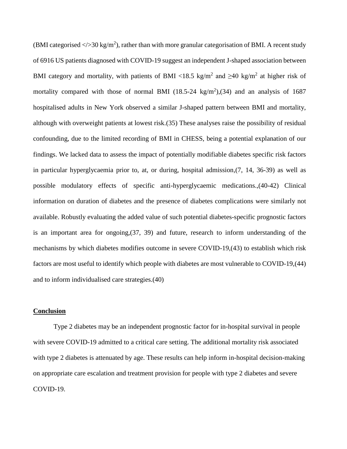(BMI categorised  $\langle \rangle > 30 \text{ kg/m}^2$ ), rather than with more granular categorisation of BMI. A recent study of 6916 US patients diagnosed with COVID-19 suggest an independent J-shaped association between BMI category and mortality, with patients of BMI <18.5 kg/m<sup>2</sup> and  $\geq 40$  kg/m<sup>2</sup> at higher risk of mortality compared with those of normal BMI  $(18.5{\text -}24 \text{ kg/m}^2)$ ,  $(34)$  and an analysis of 1687 hospitalised adults in New York observed a similar J-shaped pattern between BMI and mortality, although with overweight patients at lowest risk.(35) These analyses raise the possibility of residual confounding, due to the limited recording of BMI in CHESS, being a potential explanation of our findings. We lacked data to assess the impact of potentially modifiable diabetes specific risk factors in particular hyperglycaemia prior to, at, or during, hospital admission,(7, 14, 36-39) as well as possible modulatory effects of specific anti-hyperglycaemic medications.,(40-42) Clinical information on duration of diabetes and the presence of diabetes complications were similarly not available. Robustly evaluating the added value of such potential diabetes-specific prognostic factors is an important area for ongoing,(37, 39) and future, research to inform understanding of the mechanisms by which diabetes modifies outcome in severe COVID-19,(43) to establish which risk factors are most useful to identify which people with diabetes are most vulnerable to COVID-19,(44) and to inform individualised care strategies.(40)

#### **Conclusion**

Type 2 diabetes may be an independent prognostic factor for in-hospital survival in people with severe COVID-19 admitted to a critical care setting. The additional mortality risk associated with type 2 diabetes is attenuated by age. These results can help inform in-hospital decision-making on appropriate care escalation and treatment provision for people with type 2 diabetes and severe COVID-19.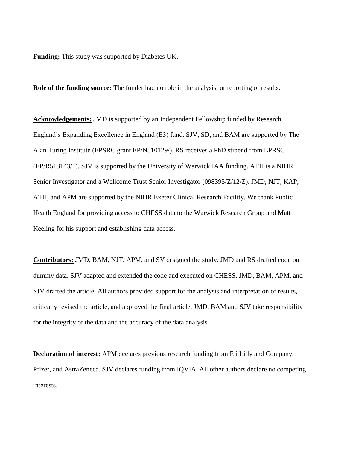**Funding:** This study was supported by Diabetes UK.

**Role of the funding source:** The funder had no role in the analysis, or reporting of results.

**Acknowledgements:** JMD is supported by an Independent Fellowship funded by Research England's Expanding Excellence in England (E3) fund. SJV, SD, and BAM are supported by The Alan Turing Institute (EPSRC grant EP/N510129/). RS receives a PhD stipend from EPRSC (EP/R513143/1). SJV is supported by the University of Warwick IAA funding. ATH is a NIHR Senior Investigator and a Wellcome Trust Senior Investigator (098395/Z/12/Z). JMD, NJT, KAP, ATH, and APM are supported by the NIHR Exeter Clinical Research Facility. We thank Public Health England for providing access to CHESS data to the Warwick Research Group and Matt Keeling for his support and establishing data access.

**Contributors:** JMD, BAM, NJT, APM, and SV designed the study. JMD and RS drafted code on dummy data. SJV adapted and extended the code and executed on CHESS. JMD, BAM, APM, and SJV drafted the article. All authors provided support for the analysis and interpretation of results, critically revised the article, and approved the final article. JMD, BAM and SJV take responsibility for the integrity of the data and the accuracy of the data analysis.

**Declaration of interest:** APM declares previous research funding from Eli Lilly and Company, Pfizer, and AstraZeneca. SJV declares funding from IQVIA. All other authors declare no competing interests.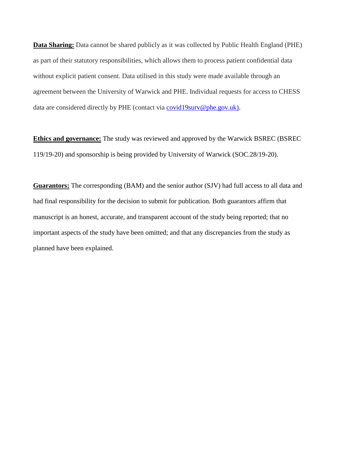**Data Sharing:** Data cannot be shared publicly as it was collected by Public Health England (PHE) as part of their statutory responsibilities, which allows them to process patient confidential data without explicit patient consent. Data utilised in this study were made available through an agreement between the University of Warwick and PHE. Individual requests for access to CHESS data are considered directly by PHE (contact via [covid19surv@phe.gov.uk\).](mailto:covid19surv@phe.gov.uk))

**Ethics and governance:** The study was reviewed and approved by the Warwick BSREC (BSREC 119/19-20) and sponsorship is being provided by University of Warwick (SOC.28/19-20).

**Guarantors:** The corresponding (BAM) and the senior author (SJV) had full access to all data and had final responsibility for the decision to submit for publication. Both guarantors affirm that manuscript is an honest, accurate, and transparent account of the study being reported; that no important aspects of the study have been omitted; and that any discrepancies from the study as planned have been explained.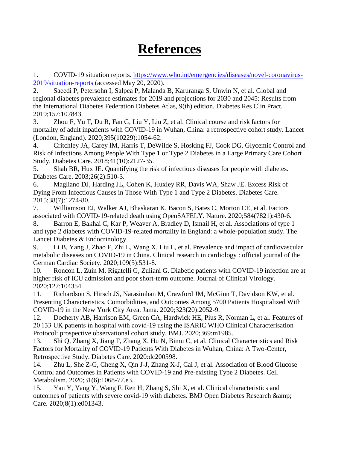## **References**

1. COVID-19 situation reports. [https://www.who.int/emergencies/diseases/novel-coronavirus-](https://www.who.int/emergencies/diseases/novel-coronavirus-2019/situation-reports)[2019/situation-reports](https://www.who.int/emergencies/diseases/novel-coronavirus-2019/situation-reports) (accessed May 20, 2020).

2. Saeedi P, Petersohn I, Salpea P, Malanda B, Karuranga S, Unwin N, et al. Global and regional diabetes prevalence estimates for 2019 and projections for 2030 and 2045: Results from the International Diabetes Federation Diabetes Atlas, 9(th) edition. Diabetes Res Clin Pract. 2019;157:107843.

3. Zhou F, Yu T, Du R, Fan G, Liu Y, Liu Z, et al. Clinical course and risk factors for mortality of adult inpatients with COVID-19 in Wuhan, China: a retrospective cohort study. Lancet (London, England). 2020;395(10229):1054-62.

4. Critchley JA, Carey IM, Harris T, DeWilde S, Hosking FJ, Cook DG. Glycemic Control and Risk of Infections Among People With Type 1 or Type 2 Diabetes in a Large Primary Care Cohort Study. Diabetes Care. 2018;41(10):2127-35.

5. Shah BR, Hux JE. Quantifying the risk of infectious diseases for people with diabetes. Diabetes Care. 2003;26(2):510-3.

6. Magliano DJ, Harding JL, Cohen K, Huxley RR, Davis WA, Shaw JE. Excess Risk of Dying From Infectious Causes in Those With Type 1 and Type 2 Diabetes. Diabetes Care. 2015;38(7):1274-80.

7. Williamson EJ, Walker AJ, Bhaskaran K, Bacon S, Bates C, Morton CE, et al. Factors associated with COVID-19-related death using OpenSAFELY. Nature. 2020;584(7821):430-6.

8. Barron E, Bakhai C, Kar P, Weaver A, Bradley D, Ismail H, et al. Associations of type 1 and type 2 diabetes with COVID-19-related mortality in England: a whole-population study. The Lancet Diabetes & Endocrinology.

9. Li B, Yang J, Zhao F, Zhi L, Wang X, Liu L, et al. Prevalence and impact of cardiovascular metabolic diseases on COVID-19 in China. Clinical research in cardiology : official journal of the German Cardiac Society. 2020;109(5):531-8.

10. Roncon L, Zuin M, Rigatelli G, Zuliani G. Diabetic patients with COVID-19 infection are at higher risk of ICU admission and poor short-term outcome. Journal of Clinical Virology. 2020;127:104354.

11. Richardson S, Hirsch JS, Narasimhan M, Crawford JM, McGinn T, Davidson KW, et al. Presenting Characteristics, Comorbidities, and Outcomes Among 5700 Patients Hospitalized With COVID-19 in the New York City Area. Jama. 2020;323(20):2052-9.

12. Docherty AB, Harrison EM, Green CA, Hardwick HE, Pius R, Norman L, et al. Features of 20 133 UK patients in hospital with covid-19 using the ISARIC WHO Clinical Characterisation Protocol: prospective observational cohort study. BMJ. 2020;369:m1985.

13. Shi Q, Zhang X, Jiang F, Zhang X, Hu N, Bimu C, et al. Clinical Characteristics and Risk Factors for Mortality of COVID-19 Patients With Diabetes in Wuhan, China: A Two-Center, Retrospective Study. Diabetes Care. 2020:dc200598.

14. Zhu L, She Z-G, Cheng X, Qin J-J, Zhang X-J, Cai J, et al. Association of Blood Glucose Control and Outcomes in Patients with COVID-19 and Pre-existing Type 2 Diabetes. Cell Metabolism. 2020;31(6):1068-77.e3.

15. Yan Y, Yang Y, Wang F, Ren H, Zhang S, Shi X, et al. Clinical characteristics and outcomes of patients with severe covid-19 with diabetes. BMJ Open Diabetes Research & Care. 2020;8(1):e001343.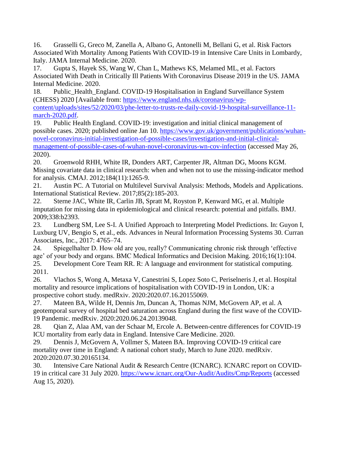16. Grasselli G, Greco M, Zanella A, Albano G, Antonelli M, Bellani G, et al. Risk Factors Associated With Mortality Among Patients With COVID-19 in Intensive Care Units in Lombardy, Italy. JAMA Internal Medicine. 2020.

17. Gupta S, Hayek SS, Wang W, Chan L, Mathews KS, Melamed ML, et al. Factors Associated With Death in Critically Ill Patients With Coronavirus Disease 2019 in the US. JAMA Internal Medicine. 2020.

18. Public\_Health\_England. COVID-19 Hospitalisation in England Surveillance System (CHESS) 2020 [Available from: [https://www.england.nhs.uk/coronavirus/wp](https://www.england.nhs.uk/coronavirus/wp-content/uploads/sites/52/2020/03/phe-letter-to-trusts-re-daily-covid-19-hospital-surveillance-11-march-2020.pdf)[content/uploads/sites/52/2020/03/phe-letter-to-trusts-re-daily-covid-19-hospital-surveillance-11](https://www.england.nhs.uk/coronavirus/wp-content/uploads/sites/52/2020/03/phe-letter-to-trusts-re-daily-covid-19-hospital-surveillance-11-march-2020.pdf) [march-2020.pdf.](https://www.england.nhs.uk/coronavirus/wp-content/uploads/sites/52/2020/03/phe-letter-to-trusts-re-daily-covid-19-hospital-surveillance-11-march-2020.pdf)

19. Public Health England. COVID-19: investigation and initial clinical management of possible cases. 2020; published online Jan 10. [https://www.gov.uk/government/publications/wuhan](https://www.gov.uk/government/publications/wuhan-novel-coronavirus-initial-investigation-of-possible-cases/investigation-and-initial-clinical-management-of-possible-cases-of-wuhan-novel-coronavirus-wn-cov-infection)[novel-coronavirus-initial-investigation-of-possible-cases/investigation-and-initial-clinical](https://www.gov.uk/government/publications/wuhan-novel-coronavirus-initial-investigation-of-possible-cases/investigation-and-initial-clinical-management-of-possible-cases-of-wuhan-novel-coronavirus-wn-cov-infection)[management-of-possible-cases-of-wuhan-novel-coronavirus-wn-cov-infection](https://www.gov.uk/government/publications/wuhan-novel-coronavirus-initial-investigation-of-possible-cases/investigation-and-initial-clinical-management-of-possible-cases-of-wuhan-novel-coronavirus-wn-cov-infection) (accessed May 26, 2020).

20. Groenwold RHH, White IR, Donders ART, Carpenter JR, Altman DG, Moons KGM. Missing covariate data in clinical research: when and when not to use the missing-indicator method for analysis. CMAJ. 2012;184(11):1265-9.

21. Austin PC. A Tutorial on Multilevel Survival Analysis: Methods, Models and Applications. International Statistical Review. 2017;85(2):185-203.

22. Sterne JAC, White IR, Carlin JB, Spratt M, Royston P, Kenward MG, et al. Multiple imputation for missing data in epidemiological and clinical research: potential and pitfalls. BMJ. 2009;338:b2393.

23. Lundberg SM, Lee S-I. A Unified Approach to Interpreting Model Predictions. In: Guyon I, Luxburg UV, Bengio S, et al., eds. Advances in Neural Information Processing Systems 30. Curran Associates, Inc., 2017: 4765–74.

24. Spiegelhalter D. How old are you, really? Communicating chronic risk through 'effective age' of your body and organs. BMC Medical Informatics and Decision Making. 2016;16(1):104.

25. Development Core Team RR. R: A language and environment for statistical computing. 2011.

26. Vlachos S, Wong A, Metaxa V, Canestrini S, Lopez Soto C, Periselneris J, et al. Hospital mortality and resource implications of hospitalisation with COVID-19 in London, UK: a prospective cohort study. medRxiv. 2020:2020.07.16.20155069.

27. Mateen BA, Wilde H, Dennis Jm, Duncan A, Thomas NJM, McGovern AP, et al. A geotemporal survey of hospital bed saturation across England during the first wave of the COVID-19 Pandemic. medRxiv. 2020:2020.06.24.20139048.

28. Qian Z, Alaa AM, van der Schaar M, Ercole A. Between-centre differences for COVID-19 ICU mortality from early data in England. Intensive Care Medicine. 2020.

29. Dennis J, McGovern A, Vollmer S, Mateen BA. Improving COVID-19 critical care mortality over time in England: A national cohort study, March to June 2020. medRxiv. 2020:2020.07.30.20165134.

30. Intensive Care National Audit & Research Centre (ICNARC). ICNARC report on COVID-19 in critical care 31 July 2020.<https://www.icnarc.org/Our-Audit/Audits/Cmp/Reports> (accessed Aug 15, 2020).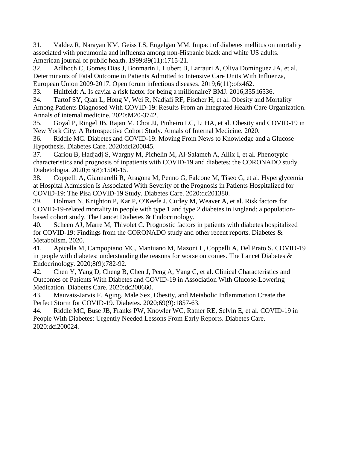31. Valdez R, Narayan KM, Geiss LS, Engelgau MM. Impact of diabetes mellitus on mortality associated with pneumonia and influenza among non-Hispanic black and white US adults. American journal of public health. 1999;89(11):1715-21.

32. Adlhoch C, Gomes Dias J, Bonmarin I, Hubert B, Larrauri A, Oliva Domínguez JA, et al. Determinants of Fatal Outcome in Patients Admitted to Intensive Care Units With Influenza, European Union 2009-2017. Open forum infectious diseases. 2019;6(11):ofz462.

33. Huitfeldt A. Is caviar a risk factor for being a millionaire? BMJ. 2016;355:i6536.

34. Tartof SY, Qian L, Hong V, Wei R, Nadjafi RF, Fischer H, et al. Obesity and Mortality Among Patients Diagnosed With COVID-19: Results From an Integrated Health Care Organization. Annals of internal medicine. 2020:M20-3742.

35. Goyal P, Ringel JB, Rajan M, Choi JJ, Pinheiro LC, Li HA, et al. Obesity and COVID-19 in New York City: A Retrospective Cohort Study. Annals of Internal Medicine. 2020.

36. Riddle MC. Diabetes and COVID-19: Moving From News to Knowledge and a Glucose Hypothesis. Diabetes Care. 2020:dci200045.

37. Cariou B, Hadjadj S, Wargny M, Pichelin M, Al-Salameh A, Allix I, et al. Phenotypic characteristics and prognosis of inpatients with COVID-19 and diabetes: the CORONADO study. Diabetologia. 2020;63(8):1500-15.

38. Coppelli A, Giannarelli R, Aragona M, Penno G, Falcone M, Tiseo G, et al. Hyperglycemia at Hospital Admission Is Associated With Severity of the Prognosis in Patients Hospitalized for COVID-19: The Pisa COVID-19 Study. Diabetes Care. 2020:dc201380.

39. Holman N, Knighton P, Kar P, O'Keefe J, Curley M, Weaver A, et al. Risk factors for COVID-19-related mortality in people with type 1 and type 2 diabetes in England: a populationbased cohort study. The Lancet Diabetes & Endocrinology.

40. Scheen AJ, Marre M, Thivolet C. Prognostic factors in patients with diabetes hospitalized for COVID-19: Findings from the CORONADO study and other recent reports. Diabetes & Metabolism. 2020.

41. Apicella M, Campopiano MC, Mantuano M, Mazoni L, Coppelli A, Del Prato S. COVID-19 in people with diabetes: understanding the reasons for worse outcomes. The Lancet Diabetes  $\&$ Endocrinology. 2020;8(9):782-92.

42. Chen Y, Yang D, Cheng B, Chen J, Peng A, Yang C, et al. Clinical Characteristics and Outcomes of Patients With Diabetes and COVID-19 in Association With Glucose-Lowering Medication. Diabetes Care. 2020:dc200660.

43. Mauvais-Jarvis F. Aging, Male Sex, Obesity, and Metabolic Inflammation Create the Perfect Storm for COVID-19. Diabetes. 2020;69(9):1857-63.

44. Riddle MC, Buse JB, Franks PW, Knowler WC, Ratner RE, Selvin E, et al. COVID-19 in People With Diabetes: Urgently Needed Lessons From Early Reports. Diabetes Care. 2020:dci200024.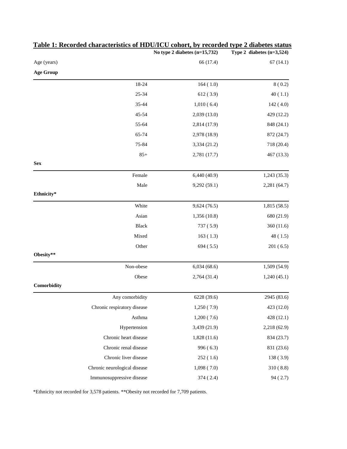|                  |                              | No type 2 diabetes (n=15,732) | Type 2 diabetes $(n=3,524)$ |
|------------------|------------------------------|-------------------------------|-----------------------------|
| Age (years)      |                              | 66 (17.4)                     | 67(14.1)                    |
| <b>Age Group</b> |                              |                               |                             |
|                  | 18-24                        | 164(1.0)                      | 8(0.2)                      |
|                  | 25-34                        | 612(3.9)                      | 40(1.1)                     |
|                  | 35-44                        | 1,010(6.4)                    | 142(4.0)                    |
|                  | 45-54                        | 2,039 (13.0)                  | 429 (12.2)                  |
|                  | 55-64                        | 2,814 (17.9)                  | 848 (24.1)                  |
|                  | 65-74                        | 2,978 (18.9)                  | 872 (24.7)                  |
|                  | 75-84                        | 3,334 (21.2)                  | 718 (20.4)                  |
|                  | $85+$                        | 2,781 (17.7)                  | 467 (13.3)                  |
| <b>Sex</b>       |                              |                               |                             |
|                  | Female                       | 6,440(40.9)                   | 1,243(35.3)                 |
|                  | Male                         | 9,292(59.1)                   | 2,281 (64.7)                |
| Ethnicity*       |                              |                               |                             |
|                  | White                        | 9,624(76.5)                   | 1,815 (58.5)                |
|                  | Asian                        | 1,356 (10.8)                  | 680 (21.9)                  |
|                  | <b>Black</b>                 | 737 (5.9)                     | 360 (11.6)                  |
|                  | Mixed                        | 163(1.3)                      | 48(1.5)                     |
|                  | Other                        | 694(5.5)                      | 201(6.5)                    |
| Obesity**        |                              |                               |                             |
|                  | Non-obese                    | 6,034(68.6)                   | 1,509 (54.9)                |
|                  | Obese                        | 2,764 (31.4)                  | 1,240(45.1)                 |
| Comorbidity      |                              |                               |                             |
|                  | Any comorbidity              | 6228 (39.6)                   | 2945 (83.6)                 |
|                  | Chronic respiratory disease  | 1,250(7.9)                    | 423 (12.0)                  |
|                  | Asthma                       | 1,200(7.6)                    | 428 (12.1)                  |
|                  | Hypertension                 | 3,439 (21.9)                  | 2,218 (62.9)                |
|                  | Chronic heart disease        | 1,828(11.6)                   | 834 (23.7)                  |
|                  | Chronic renal disease        | 996(6.3)                      | 831 (23.6)                  |
|                  | Chronic liver disease        | 252(1.6)                      | 138 (3.9)                   |
|                  | Chronic neurological disease | 1,098(7.0)                    | 310(8.8)                    |
|                  | Immunosuppressive disease    | 374 (2.4)                     | 94 (2.7)                    |

### **Table 1: Recorded characteristics of HDU/ICU cohort, by recorded type 2 diabetes status**

\*Ethnicity not recorded for 3,578 patients. \*\*Obesity not recorded for 7,709 patients.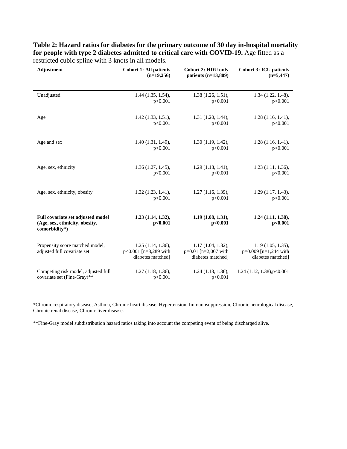**Table 2: Hazard ratios for diabetes for the primary outcome of 30 day in-hospital mortality**  for people with type 2 diabetes admitted to critical care with COVID-19. Age fitted as a restricted cubic spline with 3 knots in all models.

| <b>Adjustment</b>                                                                    | <b>Cohort 1: All patients</b>                                        | <b>Cohort 2: HDU only</b>                                        | <b>Cohort 3: ICU patients</b>                                     |
|--------------------------------------------------------------------------------------|----------------------------------------------------------------------|------------------------------------------------------------------|-------------------------------------------------------------------|
|                                                                                      | $(n=19,256)$                                                         | patients $(n=13,809)$                                            | $(n=5,447)$                                                       |
| Unadjusted                                                                           | $1.44$ $(1.35, 1.54)$ ,                                              | 1.38(1.26, 1.51),                                                | 1.34 (1.22, 1.48),                                                |
|                                                                                      | p<0.001                                                              | p<0.001                                                          | p<0.001                                                           |
| Age                                                                                  | $1.42(1.33, 1.51)$ ,                                                 | $1.31$ $(1.20, 1.44)$ ,                                          | 1.28(1.16, 1.41),                                                 |
|                                                                                      | p<0.001                                                              | p<0.001                                                          | p<0.001                                                           |
| Age and sex                                                                          | 1.40(1.31, 1.49),                                                    | 1.30(1.19, 1.42),                                                | $1.28$ (1.16, 1.41),                                              |
|                                                                                      | p<0.001                                                              | p<0.001                                                          | p<0.001                                                           |
| Age, sex, ethnicity                                                                  | 1.36(1.27, 1.45),                                                    | $1.29(1.18, 1.41)$ ,                                             | $1.23$ $(1.11, 1.36)$ ,                                           |
|                                                                                      | p<0.001                                                              | p<0.001                                                          | p<0.001                                                           |
| Age, sex, ethnicity, obesity                                                         | 1.32(1.23, 1.41),                                                    | $1.27$ $(1.16, 1.39)$ ,                                          | 1.29(1.17, 1.43),                                                 |
|                                                                                      | p<0.001                                                              | p<0.001                                                          | p<0.001                                                           |
| Full covariate set adjusted model<br>(Age, sex, ethnicity, obesity,<br>comorbidity*) | $1.23$ $(1.14, 1.32)$ ,<br>p<0.001                                   | 1.19(1.08, 1.31),<br>p<0.001                                     | $1.24$ $(1.11, 1.38)$ ,<br>p<0.001                                |
| Propensity score matched model,<br>adjusted full covariate set                       | $1.25$ (1.14, 1.36),<br>$p<0.001$ [n=3,289 with<br>diabetes matched] | 1.17(1.04, 1.32),<br>$p=0.01$ [n=2,007 with<br>diabetes matched] | 1.19(1.05, 1.35),<br>$p=0.009$ [n=1,244 with<br>diabetes matched] |
| Competing risk model, adjusted full                                                  | 1.27(1.18, 1.36),                                                    | $1.24$ $(1.13, 1.36)$ ,                                          | 1.24 (1.12, 1.38), p< 0.001                                       |
| covariate set (Fine-Gray)**                                                          | p<0.001                                                              | p<0.001                                                          |                                                                   |

\*Chronic respiratory disease, Asthma, Chronic heart disease, Hypertension, Immunosuppression, Chronic neurological disease, Chronic renal disease, Chronic liver disease.

\*\*Fine-Gray model subdistribution hazard ratios taking into account the competing event of being discharged alive.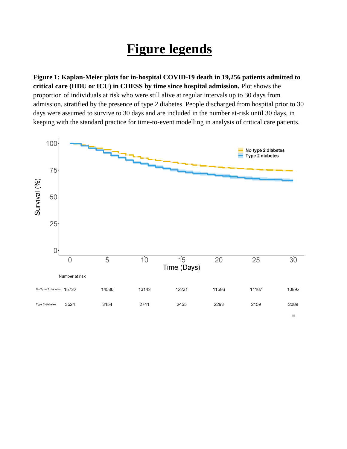# **Figure legends**

**Figure 1: Kaplan-Meier plots for in-hospital COVID-19 death in 19,256 patients admitted to critical care (HDU or ICU) in CHESS by time since hospital admission.** Plot shows the proportion of individuals at risk who were still alive at regular intervals up to 30 days from admission, stratified by the presence of type 2 diabetes. People discharged from hospital prior to 30 days were assumed to survive to 30 days and are included in the number at-risk until 30 days, in keeping with the standard practice for time-to-event modelling in analysis of critical care patients.

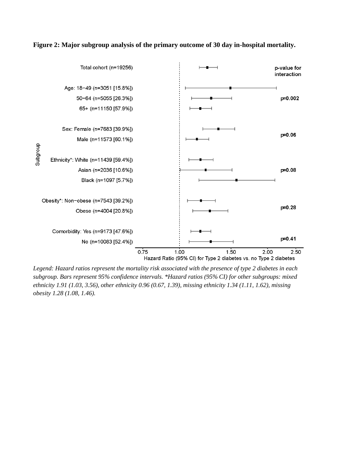



*Legend: Hazard ratios represent the mortality risk associated with the presence of type 2 diabetes in each subgroup. Bars represent 95% confidence intervals. \*Hazard ratios (95% CI) for other subgroups: mixed ethnicity 1.91 (1.03, 3.56), other ethnicity 0.96 (0.67, 1.39), missing ethnicity 1.34 (1.11, 1.62), missing obesity 1.28 (1.08, 1.46).*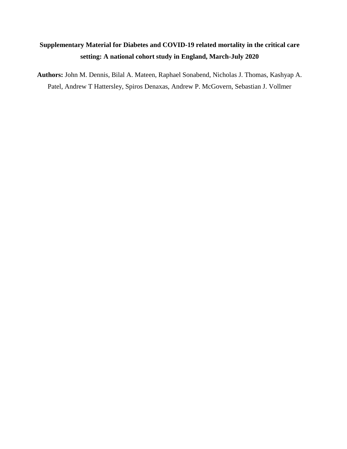### **Supplementary Material for Diabetes and COVID-19 related mortality in the critical care setting: A national cohort study in England, March-July 2020**

**Authors:** John M. Dennis, Bilal A. Mateen, Raphael Sonabend, Nicholas J. Thomas, Kashyap A. Patel, Andrew T Hattersley, Spiros Denaxas, Andrew P. McGovern, Sebastian J. Vollmer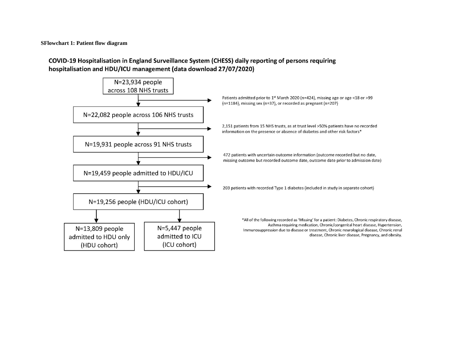**SFlowchart 1: Patient flow diagram**

#### COVID-19 Hospitalisation in England Surveillance System (CHESS) daily reporting of persons requiring hospitalisation and HDU/ICU management (data download 27/07/2020)

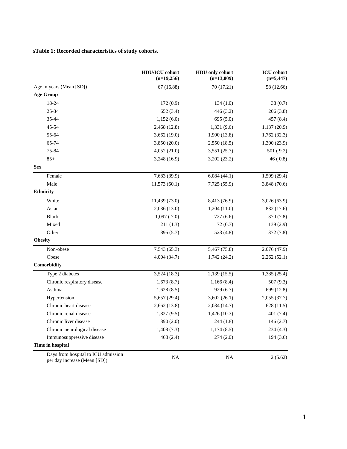#### **sTable 1: Recorded characteristics of study cohorts.**

|                                                                     | HDU/ICU cohort<br>$(n=19,256)$ | HDU only cohort<br>$(n=13,809)$ | <b>ICU</b> cohort<br>$(n=5,447)$ |
|---------------------------------------------------------------------|--------------------------------|---------------------------------|----------------------------------|
| Age in years (Mean [SD])                                            | 67 (16.88)                     | 70 (17.21)                      | 58 (12.66)                       |
| <b>Age Group</b>                                                    |                                |                                 |                                  |
| 18-24                                                               | 172(0.9)                       | 134(1.0)                        | 38(0.7)                          |
| 25-34                                                               | 652(3.4)                       | 446(3.2)                        | 206(3.8)                         |
| 35-44                                                               | 1,152(6.0)                     | 695(5.0)                        | 457 (8.4)                        |
| 45-54                                                               | 2,468 (12.8)                   | 1,331 (9.6)                     | 1,137(20.9)                      |
| 55-64                                                               | 3,662 (19.0)                   | 1,900(13.8)                     | 1,762(32.3)                      |
| 65-74                                                               | 3,850 (20.0)                   | 2,550(18.5)                     | 1,300(23.9)                      |
| 75-84                                                               | 4,052 (21.0)                   | 3,551 (25.7)                    | 501(9.2)                         |
| $85+$                                                               | 3,248 (16.9)                   | 3,202 (23.2)                    | 46(0.8)                          |
| <b>Sex</b>                                                          |                                |                                 |                                  |
| Female                                                              | 7,683 (39.9)                   | 6,084(44.1)                     | 1,599(29.4)                      |
| Male                                                                | 11,573(60.1)                   | 7,725 (55.9)                    | 3,848 (70.6)                     |
| <b>Ethnicity</b>                                                    |                                |                                 |                                  |
| White                                                               | 11,439 (73.0)                  | 8,413 (76.9)                    | 3,026(63.9)                      |
| Asian                                                               | 2,036 (13.0)                   | 1,204(11.0)                     | 832 (17.6)                       |
| <b>Black</b>                                                        | 1,097(7.0)                     | 727(6.6)                        | 370 (7.8)                        |
| Mixed                                                               | 211(1.3)                       | 72(0.7)                         | 139(2.9)                         |
| Other                                                               | 895 (5.7)                      | 523 (4.8)                       | 372 (7.8)                        |
| <b>Obesity</b>                                                      |                                |                                 |                                  |
| Non-obese                                                           | 7,543(65.3)                    | 5,467 (75.8)                    | 2,076 (47.9)                     |
| Obese                                                               | 4,004 (34.7)                   | 1,742 (24.2)                    | 2,262(52.1)                      |
| Comorbidity                                                         |                                |                                 |                                  |
| Type 2 diabetes                                                     | 3,524(18.3)                    | 2,139 (15.5)                    | 1,385 (25.4)                     |
| Chronic respiratory disease                                         | 1,673(8.7)                     | 1,166(8.4)                      | 507 (9.3)                        |
| Asthma                                                              | 1,628(8.5)                     | 929(6.7)                        | 699 (12.8)                       |
| Hypertension                                                        | 5,657 (29.4)                   | 3,602(26.1)                     | 2,055(37.7)                      |
| Chronic heart disease                                               | 2,662(13.8)                    | 2,034 (14.7)                    | 628 (11.5)                       |
| Chronic renal disease                                               | 1,827(9.5)                     | 1,426(10.3)                     | 401(7.4)                         |
| Chronic liver disease                                               | 390(2.0)                       | 244(1.8)                        | 146(2.7)                         |
| Chronic neurological disease                                        | 1,408(7.3)                     | 1,174(8.5)                      | 234(4.3)                         |
| Immunosuppressive disease                                           | 468 (2.4)                      | 274(2.0)                        | 194(3.6)                         |
| Time in hospital                                                    |                                |                                 |                                  |
| Days from hospital to ICU admission<br>per day increase (Mean [SD]) | <b>NA</b>                      | <b>NA</b>                       | 2(5.62)                          |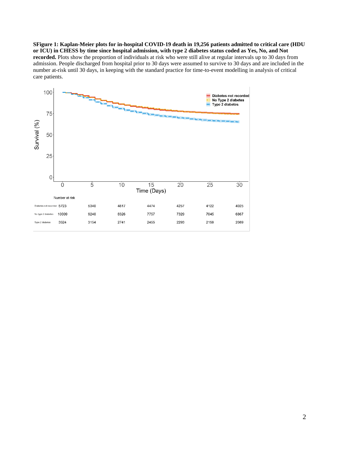**SFigure 1: Kaplan-Meier plots for in-hospital COVID-19 death in 19,256 patients admitted to critical care (HDU or ICU) in CHESS by time since hospital admission, with type 2 diabetes status coded as Yes, No, and Not recorded.** Plots show the proportion of individuals at risk who were still alive at regular intervals up to 30 days from admission. People discharged from hospital prior to 30 days were assumed to survive to 30 days and are included in the number at-risk until 30 days, in keeping with the standard practice for time-to-event modelling in analysis of critical care patients.

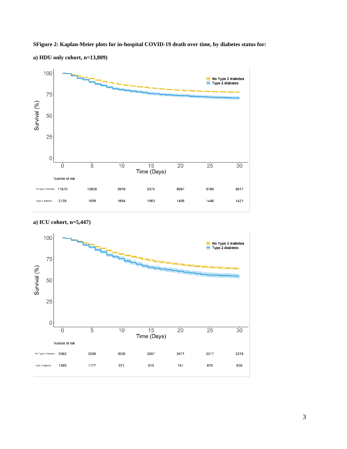

**SFigure 2: Kaplan-Meier plots for in-hospital COVID-19 death over time, by diabetes status for:**

**a) HDU only cohort, n=13,809)** 



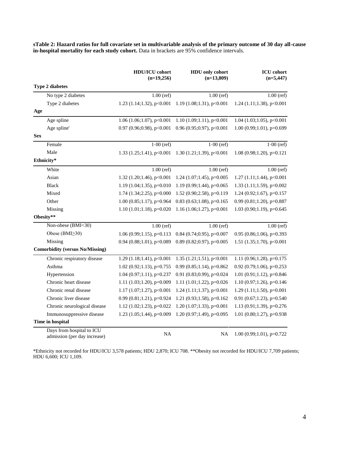**sTable 2: Hazard ratios for full covariate set in multivariable analysis of the primary outcome of 30 day all-cause in-hospital mortality for each study cohort.** Data in brackets are 95% confidence intervals.

|            |                                                           | <b>HDU/ICU</b> cohort<br>$(n=19,256)$ | <b>HDU</b> only cohort<br>$(n=13,809)$ | <b>ICU</b> cohort<br>$(n=5,447)$  |
|------------|-----------------------------------------------------------|---------------------------------------|----------------------------------------|-----------------------------------|
|            | <b>Type 2 diabetes</b>                                    |                                       |                                        |                                   |
|            | No type 2 diabetes                                        | $1.00$ (ref)                          | $1.00$ (ref)                           | $1.00$ (ref)                      |
|            | Type 2 diabetes                                           | $1.23$ (1.14;1.32), p<0.001           | $1.19(1.08;1.31)$ , p<0.001            | 1.24 $(1.11; 1.38)$ , p<0.001     |
| Age        |                                                           |                                       |                                        |                                   |
|            | Age spline                                                | 1.06 (1.06;1.07), $p<0.001$           | 1.10 $(1.09;1.11)$ , p<0.001           | $1.04$ (1.03;1.05), p<0.001       |
|            | Age spline'                                               | 0.97 (0.96;0.98), $p<0.001$           | $0.96(0.95;0.97)$ , p<0.001            | $1.00(0.99;1.01)$ , p=0.699       |
| <b>Sex</b> |                                                           |                                       |                                        |                                   |
|            | Female                                                    | $1.00$ (ref)                          | $1.00$ (ref)                           | $1.00$ (ref)                      |
|            | Male                                                      | 1.33 $(1.25; 1.41)$ , p<0.001         | 1.30 $(1.21; 1.39)$ , p<0.001          | $1.08$ (0.98;1.20), p=0.121       |
|            | Ethnicity*                                                |                                       |                                        |                                   |
|            | White                                                     | $1.00$ (ref)                          | $1.00$ (ref)                           | $1.00$ (ref)                      |
|            | Asian                                                     | 1.32 $(1.20; 1.46)$ , p<0.001         | $1.24$ (1.07;1.45), p=0.005            | $1.27$ $(1.11; 1.44)$ , $p<0.001$ |
|            | <b>Black</b>                                              | 1.19 $(1.04; 1.35)$ , p=0.010         | 1.19 (0.99;1.44), $p=0.065$            | 1.33 $(1.11; 1.59)$ , p=0.002     |
|            | Mixed                                                     | $1.74$ $(1.34;2.25)$ , p=0.000        | 1.52 (0.90;2.58), p=0.119              | 1.24 (0.92;1.67), $p=0.157$       |
|            | Other                                                     | $1.00$ (0.85;1.17), p=0.964           | $0.83$ (0.63;1.08), p=0.165            | $0.99$ $(0.81;1.20)$ , p=0.887    |
|            | Missing                                                   | $1.10(1.01;1.18)$ , p=0.020           | $1.16(1.06;1.27)$ , p=0.001            | $1.03$ (0.90;1.19), p=0.645       |
|            | Obesity**                                                 |                                       |                                        |                                   |
|            | Non-obese (BMI<30)                                        | $1.00$ (ref)                          | $1.00$ (ref)                           | $1.00$ (ref)                      |
|            | Obese (BMI≥30)                                            | $1.06(0.99;1.15)$ , p=0.113           | $0.84$ (0.74;0.95), p=0.007            | $0.95$ (0.86;1.06), p=0.393       |
|            | Missing                                                   | $0.94$ (0.88;1.01), p=0.089           | $0.89(0.82;0.97)$ , p=0.005            | 1.51 $(1.35;1.70)$ , p<0.001      |
|            | <b>Comorbidity (versus No/Missing)</b>                    |                                       |                                        |                                   |
|            | Chronic respiratory disease                               | 1.29 $(1.18;1.41)$ , p<0.001          | 1.35 $(1.21; 1.51)$ , p<0.001          | 1.11 (0.96;1.28), $p=0.175$       |
|            | Asthma                                                    | $1.02$ (0.92; 1.13), p=0.755          | $0.99(0.85;1.14)$ , p= $0.862$         | $0.92$ (0.79;1.06), p=0.253       |
|            | Hypertension                                              | 1.04 (0.97;1.11), $p=0.237$           | 0.91 (0.83;0.99), $p=0.024$            | 1.01 (0.91;1.12), $p=0.846$       |
|            | Chronic heart disease                                     | 1.11 $(1.03;1.20)$ , p=0.009          | 1.11 $(1.01; 1.22)$ , p=0.026          | $1.10(0.97;1.26)$ , p=0.146       |
|            | Chronic renal disease                                     | 1.17 (1.07;1.27), $p<0.001$           | 1.24 $(1.11; 1.37)$ , p<0.001          | $1.29$ (1.11;1.50), p=0.001       |
|            | Chronic liver disease                                     | 0.99 (0.81;1.21), p=0.924             | 1.21 (0.93;1.58), $p=0.162$            | 0.91 (0.67;1.23), $p=0.540$       |
|            | Chronic neurological disease                              | 1.12 (1.02;1.23), p=0.022             | $1.20$ (1.07;1.33), p=0.001            | 1.13 (0.91;1.39), $p=0.276$       |
|            | Immunosuppressive disease                                 | 1.23 (1.05;1.44), p=0.009             | 1.20 $(0.97;1.49)$ , p=0.095           | 1.01 (0.80;1.27), $p=0.938$       |
|            | Time in hospital                                          |                                       |                                        |                                   |
|            | Days from hospital to ICU<br>admission (per day increase) | NA                                    | NA                                     | $1.00(0.99;1.01)$ , p=0.722       |

\*Ethnicity not recorded for HDU/ICU 3,578 patients; HDU 2,870; ICU 708. \*\*Obesity not recorded for HDU/ICU 7,709 patients; HDU 6,600; ICU 1,109.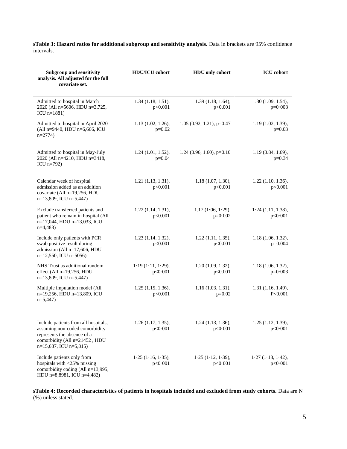**sTable 3: Hazard ratios for additional subgroup and sensitivity analysis.** Data in brackets are 95% confidence intervals.

| <b>Subgroup and sensitivity</b><br>analysis. All adjusted for the full<br>covariate set.                                                                             | <b>HDU/ICU</b> cohort               | <b>HDU</b> only cohort               | <b>ICU</b> cohort                    |
|----------------------------------------------------------------------------------------------------------------------------------------------------------------------|-------------------------------------|--------------------------------------|--------------------------------------|
| Admitted to hospital in March<br>2020 (All n=5606, HDU n=3,725,<br>$ICU$ n=1881)                                                                                     | $1.34$ $(1.18, 1.51)$ ,<br>p<0.001  | 1.39(1.18, 1.64),<br>p<0.001         | 1.30(1.09, 1.54),<br>$p=0.003$       |
| Admitted to hospital in April 2020<br>(All n=9440, HDU n=6,666, ICU<br>$n=2774$                                                                                      | $1.13$ $(1.02, 1.26)$ ,<br>$p=0.02$ | $1.05$ (0.92, 1.21), p=0.47          | 1.19 (1.02, 1.39),<br>$p=0.03$       |
| Admitted to hospital in May-July<br>2020 (All n=4210, HDU n=3418,<br>ICU $n=792$ )                                                                                   | 1.24(1.01, 1.52),<br>$p=0.04$       | 1.24 (0.96, 1.60), $p=0.10$          | 1.19(0.84, 1.69),<br>$p=0.34$        |
| Calendar week of hospital<br>admission added as an addition<br>covariate (All n=19,256, HDU<br>n=13,809, ICU n=5,447)                                                | 1.21(1.13, 1.31),<br>p<0.001        | 1.18(1.07, 1.30),<br>p<0.001         | $1.22$ (1.10, 1.36),<br>p<0.001      |
| Exclude transferred patients and<br>patient who remain in hospital (All<br>n=17,044, HDU n=13,033, ICU<br>$n=4,483$                                                  | $1.22$ $(1.14, 1.31)$ ,<br>p<0.001  | 1.17(1.06, 1.29),<br>$p=0.002$       | $1.24$ (1.11, 1.38),<br>p < 0.001    |
| Include only patients with PCR<br>swab positive result during<br>admission (All n=17,606, HDU<br>$n=12,550$ , ICU $n=5056$ )                                         | $1.23$ $(1.14, 1.32)$ ,<br>p<0.001  | $1.22$ (1.11, 1.35),<br>p<0.001      | 1.18(1.06, 1.32),<br>$p=0.004$       |
| NHS Trust as additional random<br>effect (All n=19,256, HDU<br>$n=13,809$ , ICU $n=5,447$                                                                            | 1.19(1.11, 1.29),<br>p < 0.001      | 1.20(1.09, 1.32),<br>p<0.001         | 1.18(1.06, 1.32),<br>$p=0.003$       |
| Multiple imputation model (All<br>n=19,256, HDU n=13,809, ICU<br>$n=5,447$                                                                                           | $1.25$ (1.15, 1.36),<br>p<0.001     | 1.16 (1.03, 1.31),<br>$p=0.02$       | $1.31$ $(1.16, 1.49)$ ,<br>P<0.001   |
| Include patients from all hospitals,<br>assuming non-coded comorbidity<br>represents the absence of a<br>comorbidity (All n=21452, HDU<br>$n=15,637$ , ICU $n=5,815$ | $1.26$ (1.17, 1.35),<br>p < 0.001   | 1.24 (1.13, 1.36),<br>p < 0.001      | 1.25 (1.12, 1.39),<br>p < 0.001      |
| Include patients only from<br>hospitals with <25% missing<br>comorbidity coding (All n=13,995,<br>HDU n=8,8981, ICU n=4,482)                                         | $1.25$ (1.16, 1.35),<br>p < 0.001   | $1.25$ $(1.12, 1.39)$ ,<br>p < 0.001 | $1.27$ $(1.13, 1.42)$ ,<br>p < 0.001 |

**sTable 4: Recorded characteristics of patients in hospitals included and excluded from study cohorts.** Data are N (%) unless stated.